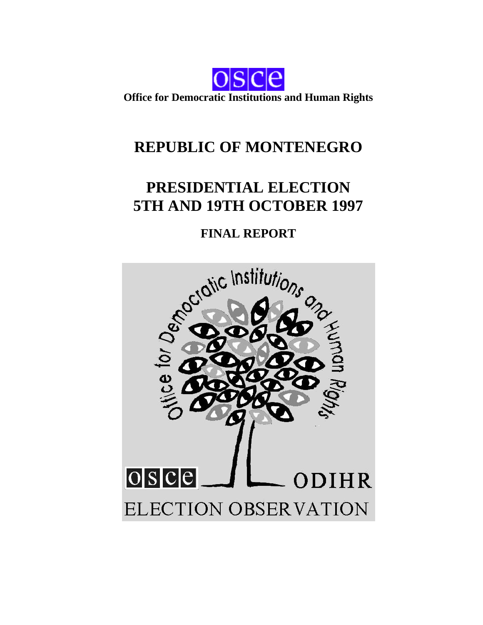

**Office for Democratic Institutions and Human Rights**

# **REPUBLIC OF MONTENEGRO**

# **PRESIDENTIAL ELECTION 5TH AND 19TH OCTOBER 1997**

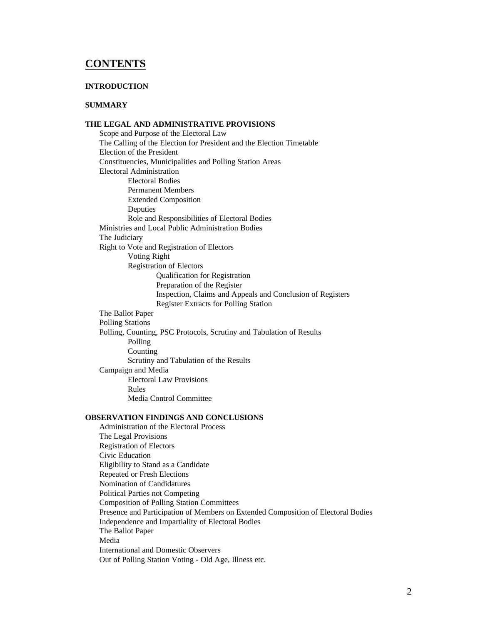# **CONTENTS**

#### **INTRODUCTION**

#### **SUMMARY**

#### **THE LEGAL AND ADMINISTRATIVE PROVISIONS**

Scope and Purpose of the Electoral Law The Calling of the Election for President and the Election Timetable Election of the President Constituencies, Municipalities and Polling Station Areas Electoral Administration Electoral Bodies Permanent Members Extended Composition Deputies Role and Responsibilities of Electoral Bodies Ministries and Local Public Administration Bodies The Judiciary Right to Vote and Registration of Electors Voting Right Registration of Electors Qualification for Registration Preparation of the Register Inspection, Claims and Appeals and Conclusion of Registers Register Extracts for Polling Station The Ballot Paper Polling Stations Polling, Counting, PSC Protocols, Scrutiny and Tabulation of Results Polling Counting Scrutiny and Tabulation of the Results Campaign and Media Electoral Law Provisions Rules Media Control Committee

#### **OBSERVATION FINDINGS AND CONCLUSIONS**

Administration of the Electoral Process The Legal Provisions Registration of Electors Civic Education Eligibility to Stand as a Candidate Repeated or Fresh Elections Nomination of Candidatures Political Parties not Competing Composition of Polling Station Committees Presence and Participation of Members on Extended Composition of Electoral Bodies Independence and Impartiality of Electoral Bodies The Ballot Paper Media International and Domestic Observers Out of Polling Station Voting - Old Age, Illness etc.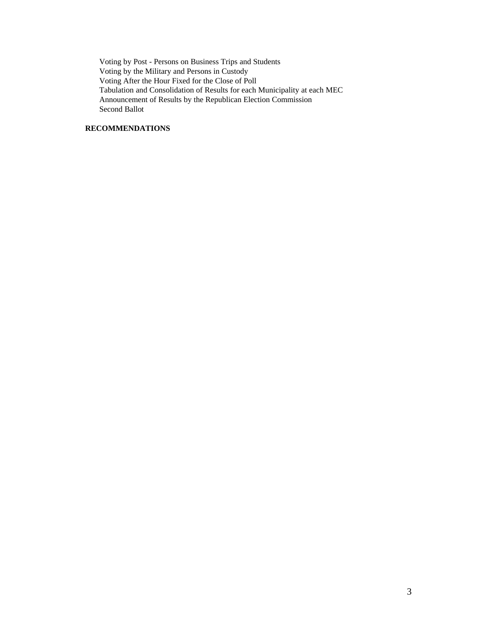Voting by Post - Persons on Business Trips and Students Voting by the Military and Persons in Custody Voting After the Hour Fixed for the Close of Poll Tabulation and Consolidation of Results for each Municipality at each MEC Announcement of Results by the Republican Election Commission Second Ballot

#### **RECOMMENDATIONS**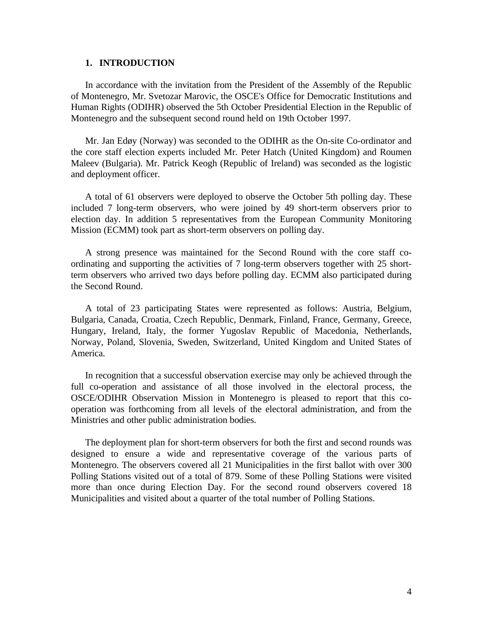# **1. INTRODUCTION**

In accordance with the invitation from the President of the Assembly of the Republic of Montenegro, Mr. Svetozar Marovic, the OSCE's Office for Democratic Institutions and Human Rights (ODIHR) observed the 5th October Presidential Election in the Republic of Montenegro and the subsequent second round held on 19th October 1997.

Mr. Jan Edøy (Norway) was seconded to the ODIHR as the On-site Co-ordinator and the core staff election experts included Mr. Peter Hatch (United Kingdom) and Roumen Maleev (Bulgaria). Mr. Patrick Keogh (Republic of Ireland) was seconded as the logistic and deployment officer.

A total of 61 observers were deployed to observe the October 5th polling day. These included 7 long-term observers, who were joined by 49 short-term observers prior to election day. In addition 5 representatives from the European Community Monitoring Mission (ECMM) took part as short-term observers on polling day.

A strong presence was maintained for the Second Round with the core staff coordinating and supporting the activities of 7 long-term observers together with 25 shortterm observers who arrived two days before polling day. ECMM also participated during the Second Round.

A total of 23 participating States were represented as follows: Austria, Belgium, Bulgaria, Canada, Croatia, Czech Republic, Denmark, Finland, France, Germany, Greece, Hungary, Ireland, Italy, the former Yugoslav Republic of Macedonia, Netherlands, Norway, Poland, Slovenia, Sweden, Switzerland, United Kingdom and United States of America.

In recognition that a successful observation exercise may only be achieved through the full co-operation and assistance of all those involved in the electoral process, the OSCE/ODIHR Observation Mission in Montenegro is pleased to report that this cooperation was forthcoming from all levels of the electoral administration, and from the Ministries and other public administration bodies.

The deployment plan for short-term observers for both the first and second rounds was designed to ensure a wide and representative coverage of the various parts of Montenegro. The observers covered all 21 Municipalities in the first ballot with over 300 Polling Stations visited out of a total of 879. Some of these Polling Stations were visited more than once during Election Day. For the second round observers covered 18 Municipalities and visited about a quarter of the total number of Polling Stations.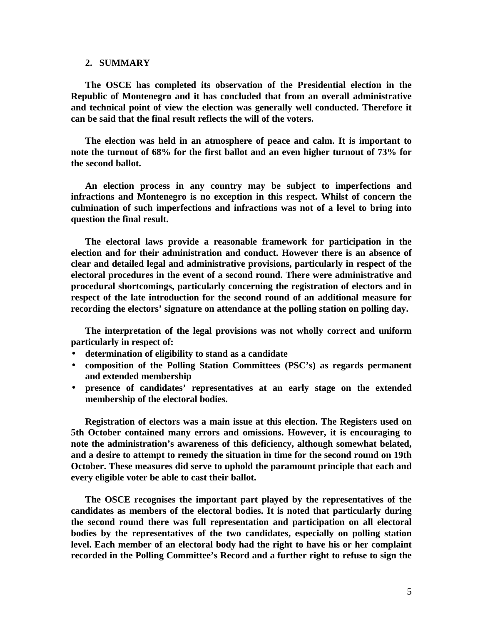#### **2. SUMMARY**

**The OSCE has completed its observation of the Presidential election in the Republic of Montenegro and it has concluded that from an overall administrative and technical point of view the election was generally well conducted. Therefore it can be said that the final result reflects the will of the voters.**

**The election was held in an atmosphere of peace and calm. It is important to note the turnout of 68% for the first ballot and an even higher turnout of 73% for the second ballot.**

**An election process in any country may be subject to imperfections and infractions and Montenegro is no exception in this respect. Whilst of concern the culmination of such imperfections and infractions was not of a level to bring into question the final result.**

**The electoral laws provide a reasonable framework for participation in the election and for their administration and conduct. However there is an absence of clear and detailed legal and administrative provisions, particularly in respect of the electoral procedures in the event of a second round. There were administrative and procedural shortcomings, particularly concerning the registration of electors and in respect of the late introduction for the second round of an additional measure for recording the electors' signature on attendance at the polling station on polling day.**

**The interpretation of the legal provisions was not wholly correct and uniform particularly in respect of:**

- **determination of eligibility to stand as a candidate**
- **composition of the Polling Station Committees (PSC's) as regards permanent and extended membership**
- **presence of candidates' representatives at an early stage on the extended membership of the electoral bodies.**

**Registration of electors was a main issue at this election. The Registers used on 5th October contained many errors and omissions. However, it is encouraging to note the administration's awareness of this deficiency, although somewhat belated, and a desire to attempt to remedy the situation in time for the second round on 19th October. These measures did serve to uphold the paramount principle that each and every eligible voter be able to cast their ballot.**

**The OSCE recognises the important part played by the representatives of the candidates as members of the electoral bodies. It is noted that particularly during the second round there was full representation and participation on all electoral bodies by the representatives of the two candidates, especially on polling station level. Each member of an electoral body had the right to have his or her complaint recorded in the Polling Committee's Record and a further right to refuse to sign the**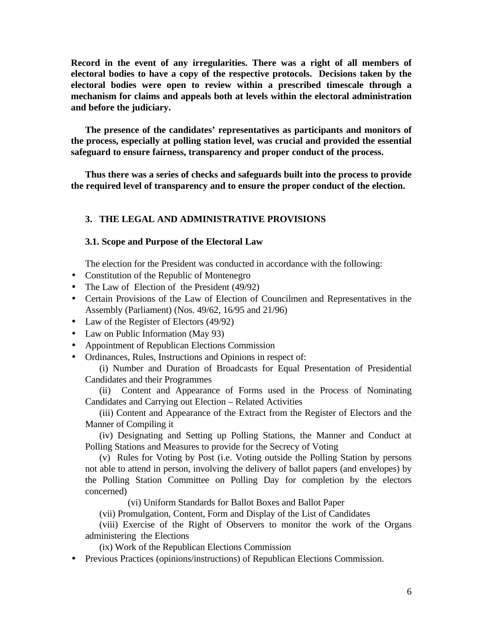**Record in the event of any irregularities. There was a right of all members of electoral bodies to have a copy of the respective protocols. Decisions taken by the electoral bodies were open to review within a prescribed timescale through a mechanism for claims and appeals both at levels within the electoral administration and before the judiciary.**

**The presence of the candidates' representatives as participants and monitors of the process, especially at polling station level, was crucial and provided the essential safeguard to ensure fairness, transparency and proper conduct of the process.**

**Thus there was a series of checks and safeguards built into the process to provide the required level of transparency and to ensure the proper conduct of the election.**

# **3. THE LEGAL AND ADMINISTRATIVE PROVISIONS**

#### **3.1. Scope and Purpose of the Electoral Law**

The election for the President was conducted in accordance with the following:

- Constitution of the Republic of Montenegro
- The Law of Election of the President (49/92)
- Certain Provisions of the Law of Election of Councilmen and Representatives in the Assembly (Parliament) (Nos. 49/62, 16/95 and 21/96)
- Law of the Register of Electors (49/92)
- Law on Public Information (May 93)
- Appointment of Republican Elections Commission
- Ordinances, Rules, Instructions and Opinions in respect of:

(i) Number and Duration of Broadcasts for Equal Presentation of Presidential Candidates and their Programmes

(ii) Content and Appearance of Forms used in the Process of Nominating Candidates and Carrying out Election – Related Activities

(iii) Content and Appearance of the Extract from the Register of Electors and the Manner of Compiling it

(iv) Designating and Setting up Polling Stations, the Manner and Conduct at Polling Stations and Measures to provide for the Secrecy of Voting

(v) Rules for Voting by Post (i.e. Voting outside the Polling Station by persons not able to attend in person, involving the delivery of ballot papers (and envelopes) by the Polling Station Committee on Polling Day for completion by the electors concerned)

(vi) Uniform Standards for Ballot Boxes and Ballot Paper

(vii) Promulgation, Content, Form and Display of the List of Candidates

(viii) Exercise of the Right of Observers to monitor the work of the Organs administering the Elections

(ix) Work of the Republican Elections Commission

• Previous Practices (opinions/instructions) of Republican Elections Commission.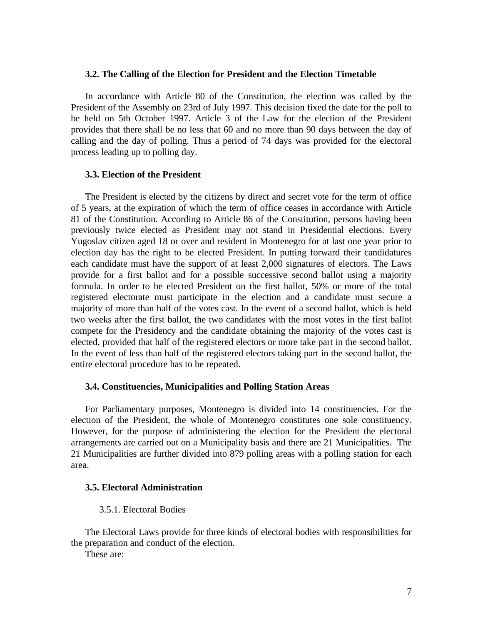#### **3.2. The Calling of the Election for President and the Election Timetable**

In accordance with Article 80 of the Constitution, the election was called by the President of the Assembly on 23rd of July 1997. This decision fixed the date for the poll to be held on 5th October 1997. Article 3 of the Law for the election of the President provides that there shall be no less that 60 and no more than 90 days between the day of calling and the day of polling. Thus a period of 74 days was provided for the electoral process leading up to polling day.

# **3.3. Election of the President**

The President is elected by the citizens by direct and secret vote for the term of office of 5 years, at the expiration of which the term of office ceases in accordance with Article 81 of the Constitution. According to Article 86 of the Constitution, persons having been previously twice elected as President may not stand in Presidential elections. Every Yugoslav citizen aged 18 or over and resident in Montenegro for at last one year prior to election day has the right to be elected President. In putting forward their candidatures each candidate must have the support of at least 2,000 signatures of electors. The Laws provide for a first ballot and for a possible successive second ballot using a majority formula. In order to be elected President on the first ballot, 50% or more of the total registered electorate must participate in the election and a candidate must secure a majority of more than half of the votes cast. In the event of a second ballot, which is held two weeks after the first ballot, the two candidates with the most votes in the first ballot compete for the Presidency and the candidate obtaining the majority of the votes cast is elected, provided that half of the registered electors or more take part in the second ballot. In the event of less than half of the registered electors taking part in the second ballot, the entire electoral procedure has to be repeated.

### **3.4. Constituencies, Municipalities and Polling Station Areas**

For Parliamentary purposes, Montenegro is divided into 14 constituencies. For the election of the President, the whole of Montenegro constitutes one sole constituency. However, for the purpose of administering the election for the President the electoral arrangements are carried out on a Municipality basis and there are 21 Municipalities. The 21 Municipalities are further divided into 879 polling areas with a polling station for each area.

# **3.5. Electoral Administration**

3.5.1. Electoral Bodies

The Electoral Laws provide for three kinds of electoral bodies with responsibilities for the preparation and conduct of the election.

These are: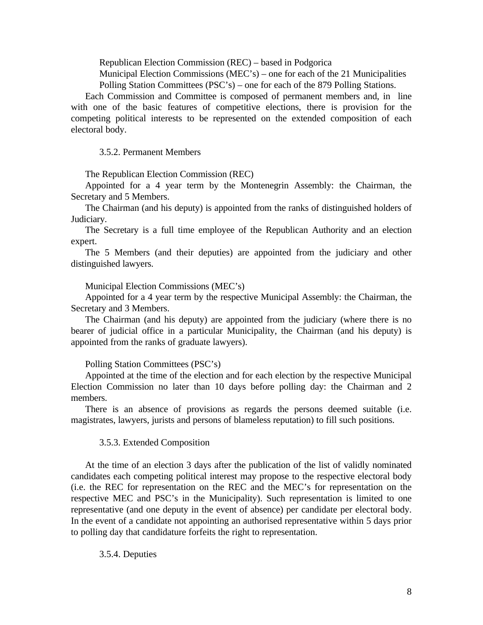Republican Election Commission (REC) – based in Podgorica

Municipal Election Commissions (MEC's) – one for each of the 21 Municipalities Polling Station Committees (PSC's) – one for each of the 879 Polling Stations.

Each Commission and Committee is composed of permanent members and, in line with one of the basic features of competitive elections, there is provision for the competing political interests to be represented on the extended composition of each electoral body.

3.5.2. Permanent Members

The Republican Election Commission (REC)

Appointed for a 4 year term by the Montenegrin Assembly: the Chairman, the Secretary and 5 Members.

The Chairman (and his deputy) is appointed from the ranks of distinguished holders of Judiciary.

The Secretary is a full time employee of the Republican Authority and an election expert.

The 5 Members (and their deputies) are appointed from the judiciary and other distinguished lawyers.

Municipal Election Commissions (MEC's)

Appointed for a 4 year term by the respective Municipal Assembly: the Chairman, the Secretary and 3 Members.

The Chairman (and his deputy) are appointed from the judiciary (where there is no bearer of judicial office in a particular Municipality, the Chairman (and his deputy) is appointed from the ranks of graduate lawyers).

Polling Station Committees (PSC's)

Appointed at the time of the election and for each election by the respective Municipal Election Commission no later than 10 days before polling day: the Chairman and 2 members.

There is an absence of provisions as regards the persons deemed suitable (i.e. magistrates, lawyers, jurists and persons of blameless reputation) to fill such positions.

#### 3.5.3. Extended Composition

At the time of an election 3 days after the publication of the list of validly nominated candidates each competing political interest may propose to the respective electoral body (i.e. the REC for representation on the REC and the MEC's for representation on the respective MEC and PSC's in the Municipality). Such representation is limited to one representative (and one deputy in the event of absence) per candidate per electoral body. In the event of a candidate not appointing an authorised representative within 5 days prior to polling day that candidature forfeits the right to representation.

#### 3.5.4. Deputies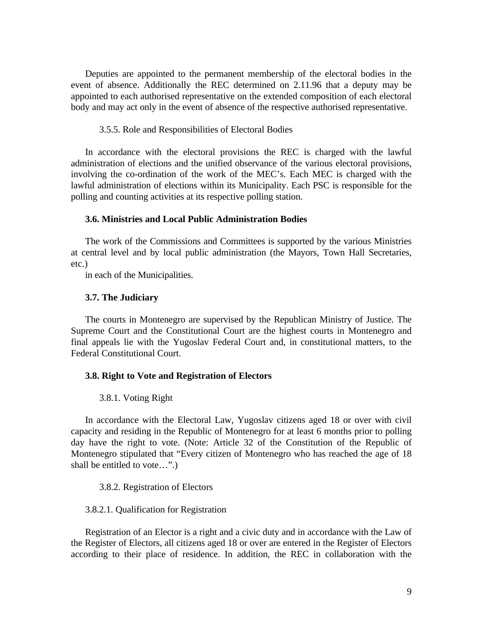Deputies are appointed to the permanent membership of the electoral bodies in the event of absence. Additionally the REC determined on 2.11.96 that a deputy may be appointed to each authorised representative on the extended composition of each electoral body and may act only in the event of absence of the respective authorised representative.

### 3.5.5. Role and Responsibilities of Electoral Bodies

In accordance with the electoral provisions the REC is charged with the lawful administration of elections and the unified observance of the various electoral provisions, involving the co-ordination of the work of the MEC's. Each MEC is charged with the lawful administration of elections within its Municipality. Each PSC is responsible for the polling and counting activities at its respective polling station.

#### **3.6. Ministries and Local Public Administration Bodies**

The work of the Commissions and Committees is supported by the various Ministries at central level and by local public administration (the Mayors, Town Hall Secretaries, etc.)

in each of the Municipalities.

#### **3.7. The Judiciary**

The courts in Montenegro are supervised by the Republican Ministry of Justice. The Supreme Court and the Constitutional Court are the highest courts in Montenegro and final appeals lie with the Yugoslav Federal Court and, in constitutional matters, to the Federal Constitutional Court.

#### **3.8. Right to Vote and Registration of Electors**

#### 3.8.1. Voting Right

In accordance with the Electoral Law, Yugoslav citizens aged 18 or over with civil capacity and residing in the Republic of Montenegro for at least 6 months prior to polling day have the right to vote. (Note: Article 32 of the Constitution of the Republic of Montenegro stipulated that "Every citizen of Montenegro who has reached the age of 18 shall be entitled to vote…".)

#### 3.8.2. Registration of Electors

#### 3.8.2.1. Qualification for Registration

Registration of an Elector is a right and a civic duty and in accordance with the Law of the Register of Electors, all citizens aged 18 or over are entered in the Register of Electors according to their place of residence. In addition, the REC in collaboration with the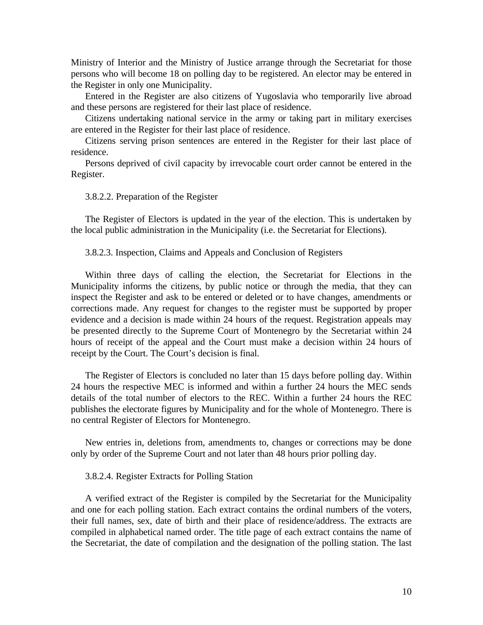Ministry of Interior and the Ministry of Justice arrange through the Secretariat for those persons who will become 18 on polling day to be registered. An elector may be entered in the Register in only one Municipality.

Entered in the Register are also citizens of Yugoslavia who temporarily live abroad and these persons are registered for their last place of residence.

Citizens undertaking national service in the army or taking part in military exercises are entered in the Register for their last place of residence.

Citizens serving prison sentences are entered in the Register for their last place of residence.

Persons deprived of civil capacity by irrevocable court order cannot be entered in the Register.

#### 3.8.2.2. Preparation of the Register

The Register of Electors is updated in the year of the election. This is undertaken by the local public administration in the Municipality (i.e. the Secretariat for Elections).

#### 3.8.2.3. Inspection, Claims and Appeals and Conclusion of Registers

Within three days of calling the election, the Secretariat for Elections in the Municipality informs the citizens, by public notice or through the media, that they can inspect the Register and ask to be entered or deleted or to have changes, amendments or corrections made. Any request for changes to the register must be supported by proper evidence and a decision is made within 24 hours of the request. Registration appeals may be presented directly to the Supreme Court of Montenegro by the Secretariat within 24 hours of receipt of the appeal and the Court must make a decision within 24 hours of receipt by the Court. The Court's decision is final.

The Register of Electors is concluded no later than 15 days before polling day. Within 24 hours the respective MEC is informed and within a further 24 hours the MEC sends details of the total number of electors to the REC. Within a further 24 hours the REC publishes the electorate figures by Municipality and for the whole of Montenegro. There is no central Register of Electors for Montenegro.

New entries in, deletions from, amendments to, changes or corrections may be done only by order of the Supreme Court and not later than 48 hours prior polling day.

#### 3.8.2.4. Register Extracts for Polling Station

A verified extract of the Register is compiled by the Secretariat for the Municipality and one for each polling station. Each extract contains the ordinal numbers of the voters, their full names, sex, date of birth and their place of residence/address. The extracts are compiled in alphabetical named order. The title page of each extract contains the name of the Secretariat, the date of compilation and the designation of the polling station. The last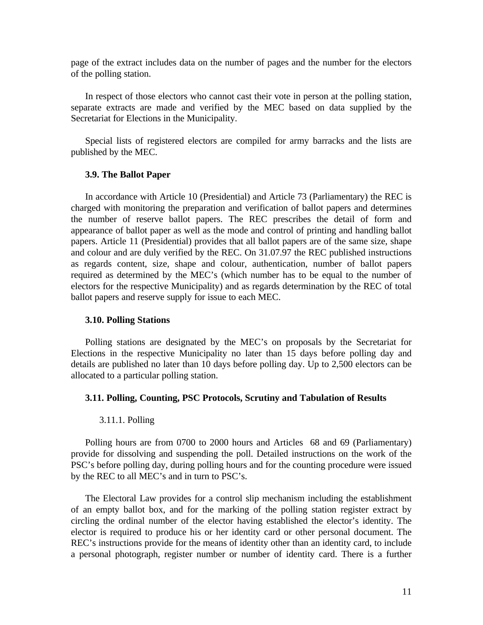page of the extract includes data on the number of pages and the number for the electors of the polling station.

In respect of those electors who cannot cast their vote in person at the polling station, separate extracts are made and verified by the MEC based on data supplied by the Secretariat for Elections in the Municipality.

Special lists of registered electors are compiled for army barracks and the lists are published by the MEC.

#### **3.9. The Ballot Paper**

In accordance with Article 10 (Presidential) and Article 73 (Parliamentary) the REC is charged with monitoring the preparation and verification of ballot papers and determines the number of reserve ballot papers. The REC prescribes the detail of form and appearance of ballot paper as well as the mode and control of printing and handling ballot papers. Article 11 (Presidential) provides that all ballot papers are of the same size, shape and colour and are duly verified by the REC. On 31.07.97 the REC published instructions as regards content, size, shape and colour, authentication, number of ballot papers required as determined by the MEC's (which number has to be equal to the number of electors for the respective Municipality) and as regards determination by the REC of total ballot papers and reserve supply for issue to each MEC.

#### **3.10. Polling Stations**

Polling stations are designated by the MEC's on proposals by the Secretariat for Elections in the respective Municipality no later than 15 days before polling day and details are published no later than 10 days before polling day. Up to 2,500 electors can be allocated to a particular polling station.

#### **3.11. Polling, Counting, PSC Protocols, Scrutiny and Tabulation of Results**

#### 3.11.1. Polling

Polling hours are from 0700 to 2000 hours and Articles 68 and 69 (Parliamentary) provide for dissolving and suspending the poll. Detailed instructions on the work of the PSC's before polling day, during polling hours and for the counting procedure were issued by the REC to all MEC's and in turn to PSC's.

The Electoral Law provides for a control slip mechanism including the establishment of an empty ballot box, and for the marking of the polling station register extract by circling the ordinal number of the elector having established the elector's identity. The elector is required to produce his or her identity card or other personal document. The REC's instructions provide for the means of identity other than an identity card, to include a personal photograph, register number or number of identity card. There is a further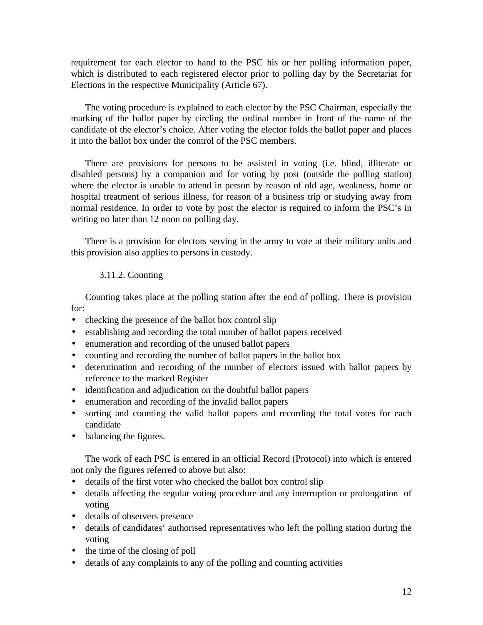requirement for each elector to hand to the PSC his or her polling information paper, which is distributed to each registered elector prior to polling day by the Secretariat for Elections in the respective Municipality (Article 67).

The voting procedure is explained to each elector by the PSC Chairman, especially the marking of the ballot paper by circling the ordinal number in front of the name of the candidate of the elector's choice. After voting the elector folds the ballot paper and places it into the ballot box under the control of the PSC members.

There are provisions for persons to be assisted in voting (i.e. blind, illiterate or disabled persons) by a companion and for voting by post (outside the polling station) where the elector is unable to attend in person by reason of old age, weakness, home or hospital treatment of serious illness, for reason of a business trip or studying away from normal residence. In order to vote by post the elector is required to inform the PSC's in writing no later than 12 noon on polling day.

There is a provision for electors serving in the army to vote at their military units and this provision also applies to persons in custody.

# 3.11.2. Counting

Counting takes place at the polling station after the end of polling. There is provision for:

- checking the presence of the ballot box control slip
- establishing and recording the total number of ballot papers received
- enumeration and recording of the unused ballot papers
- counting and recording the number of ballot papers in the ballot box
- determination and recording of the number of electors issued with ballot papers by reference to the marked Register
- identification and adjudication on the doubtful ballot papers
- enumeration and recording of the invalid ballot papers
- sorting and counting the valid ballot papers and recording the total votes for each candidate
- balancing the figures.

The work of each PSC is entered in an official Record (Protocol) into which is entered not only the figures referred to above but also:

- details of the first voter who checked the ballot box control slip
- details affecting the regular voting procedure and any interruption or prolongation of voting
- details of observers presence
- details of candidates' authorised representatives who left the polling station during the voting
- the time of the closing of poll
- details of any complaints to any of the polling and counting activities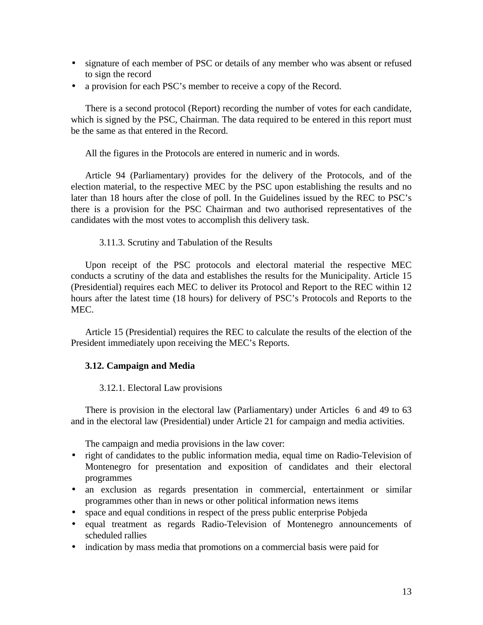- signature of each member of PSC or details of any member who was absent or refused to sign the record
- a provision for each PSC's member to receive a copy of the Record.

There is a second protocol (Report) recording the number of votes for each candidate, which is signed by the PSC, Chairman. The data required to be entered in this report must be the same as that entered in the Record.

All the figures in the Protocols are entered in numeric and in words.

Article 94 (Parliamentary) provides for the delivery of the Protocols, and of the election material, to the respective MEC by the PSC upon establishing the results and no later than 18 hours after the close of poll. In the Guidelines issued by the REC to PSC's there is a provision for the PSC Chairman and two authorised representatives of the candidates with the most votes to accomplish this delivery task.

# 3.11.3. Scrutiny and Tabulation of the Results

Upon receipt of the PSC protocols and electoral material the respective MEC conducts a scrutiny of the data and establishes the results for the Municipality. Article 15 (Presidential) requires each MEC to deliver its Protocol and Report to the REC within 12 hours after the latest time (18 hours) for delivery of PSC's Protocols and Reports to the MEC.

Article 15 (Presidential) requires the REC to calculate the results of the election of the President immediately upon receiving the MEC's Reports.

# **3.12. Campaign and Media**

#### 3.12.1. Electoral Law provisions

There is provision in the electoral law (Parliamentary) under Articles 6 and 49 to 63 and in the electoral law (Presidential) under Article 21 for campaign and media activities.

The campaign and media provisions in the law cover:

- right of candidates to the public information media, equal time on Radio-Television of Montenegro for presentation and exposition of candidates and their electoral programmes
- an exclusion as regards presentation in commercial, entertainment or similar programmes other than in news or other political information news items
- space and equal conditions in respect of the press public enterprise Pobjeda
- equal treatment as regards Radio-Television of Montenegro announcements of scheduled rallies
- indication by mass media that promotions on a commercial basis were paid for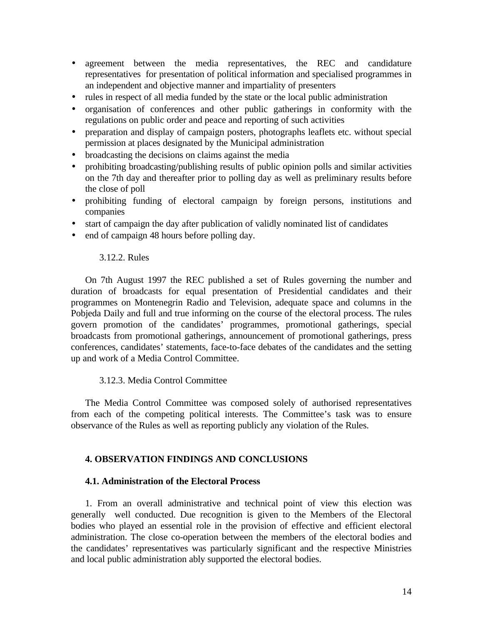- agreement between the media representatives, the REC and candidature representatives for presentation of political information and specialised programmes in an independent and objective manner and impartiality of presenters
- rules in respect of all media funded by the state or the local public administration
- organisation of conferences and other public gatherings in conformity with the regulations on public order and peace and reporting of such activities
- preparation and display of campaign posters, photographs leaflets etc. without special permission at places designated by the Municipal administration
- broadcasting the decisions on claims against the media
- prohibiting broadcasting/publishing results of public opinion polls and similar activities on the 7th day and thereafter prior to polling day as well as preliminary results before the close of poll
- prohibiting funding of electoral campaign by foreign persons, institutions and companies
- start of campaign the day after publication of validly nominated list of candidates
- end of campaign 48 hours before polling day.

# 3.12.2. Rules

On 7th August 1997 the REC published a set of Rules governing the number and duration of broadcasts for equal presentation of Presidential candidates and their programmes on Montenegrin Radio and Television, adequate space and columns in the Pobjeda Daily and full and true informing on the course of the electoral process. The rules govern promotion of the candidates' programmes, promotional gatherings, special broadcasts from promotional gatherings, announcement of promotional gatherings, press conferences, candidates' statements, face-to-face debates of the candidates and the setting up and work of a Media Control Committee.

# 3.12.3. Media Control Committee

The Media Control Committee was composed solely of authorised representatives from each of the competing political interests. The Committee's task was to ensure observance of the Rules as well as reporting publicly any violation of the Rules.

# **4. OBSERVATION FINDINGS AND CONCLUSIONS**

# **4.1. Administration of the Electoral Process**

1. From an overall administrative and technical point of view this election was generally well conducted. Due recognition is given to the Members of the Electoral bodies who played an essential role in the provision of effective and efficient electoral administration. The close co-operation between the members of the electoral bodies and the candidates' representatives was particularly significant and the respective Ministries and local public administration ably supported the electoral bodies.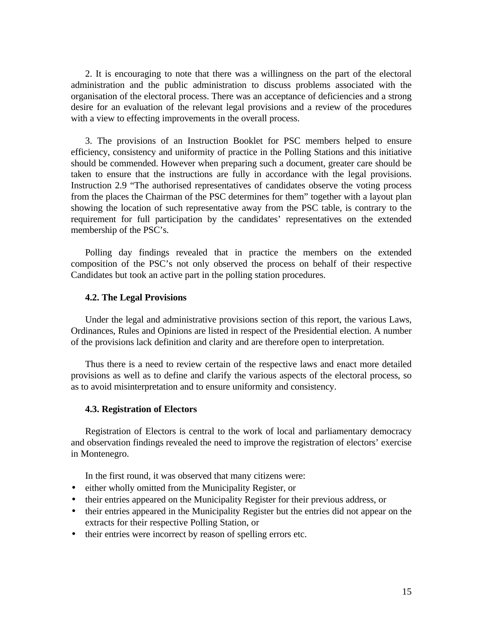2. It is encouraging to note that there was a willingness on the part of the electoral administration and the public administration to discuss problems associated with the organisation of the electoral process. There was an acceptance of deficiencies and a strong desire for an evaluation of the relevant legal provisions and a review of the procedures with a view to effecting improvements in the overall process.

3. The provisions of an Instruction Booklet for PSC members helped to ensure efficiency, consistency and uniformity of practice in the Polling Stations and this initiative should be commended. However when preparing such a document, greater care should be taken to ensure that the instructions are fully in accordance with the legal provisions. Instruction 2.9 "The authorised representatives of candidates observe the voting process from the places the Chairman of the PSC determines for them" together with a layout plan showing the location of such representative away from the PSC table, is contrary to the requirement for full participation by the candidates' representatives on the extended membership of the PSC's.

Polling day findings revealed that in practice the members on the extended composition of the PSC's not only observed the process on behalf of their respective Candidates but took an active part in the polling station procedures.

#### **4.2. The Legal Provisions**

Under the legal and administrative provisions section of this report, the various Laws, Ordinances, Rules and Opinions are listed in respect of the Presidential election. A number of the provisions lack definition and clarity and are therefore open to interpretation.

Thus there is a need to review certain of the respective laws and enact more detailed provisions as well as to define and clarify the various aspects of the electoral process, so as to avoid misinterpretation and to ensure uniformity and consistency.

### **4.3. Registration of Electors**

Registration of Electors is central to the work of local and parliamentary democracy and observation findings revealed the need to improve the registration of electors' exercise in Montenegro.

In the first round, it was observed that many citizens were:

- either wholly omitted from the Municipality Register, or
- their entries appeared on the Municipality Register for their previous address, or
- their entries appeared in the Municipality Register but the entries did not appear on the extracts for their respective Polling Station, or
- their entries were incorrect by reason of spelling errors etc.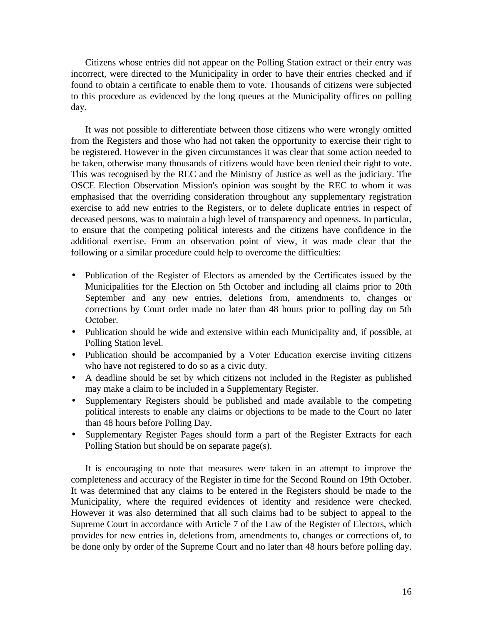Citizens whose entries did not appear on the Polling Station extract or their entry was incorrect, were directed to the Municipality in order to have their entries checked and if found to obtain a certificate to enable them to vote. Thousands of citizens were subjected to this procedure as evidenced by the long queues at the Municipality offices on polling day.

It was not possible to differentiate between those citizens who were wrongly omitted from the Registers and those who had not taken the opportunity to exercise their right to be registered. However in the given circumstances it was clear that some action needed to be taken, otherwise many thousands of citizens would have been denied their right to vote. This was recognised by the REC and the Ministry of Justice as well as the judiciary. The OSCE Election Observation Mission's opinion was sought by the REC to whom it was emphasised that the overriding consideration throughout any supplementary registration exercise to add new entries to the Registers, or to delete duplicate entries in respect of deceased persons, was to maintain a high level of transparency and openness. In particular, to ensure that the competing political interests and the citizens have confidence in the additional exercise. From an observation point of view, it was made clear that the following or a similar procedure could help to overcome the difficulties:

- Publication of the Register of Electors as amended by the Certificates issued by the Municipalities for the Election on 5th October and including all claims prior to 20th September and any new entries, deletions from, amendments to, changes or corrections by Court order made no later than 48 hours prior to polling day on 5th October.
- Publication should be wide and extensive within each Municipality and, if possible, at Polling Station level.
- Publication should be accompanied by a Voter Education exercise inviting citizens who have not registered to do so as a civic duty.
- A deadline should be set by which citizens not included in the Register as published may make a claim to be included in a Supplementary Register.
- Supplementary Registers should be published and made available to the competing political interests to enable any claims or objections to be made to the Court no later than 48 hours before Polling Day.
- Supplementary Register Pages should form a part of the Register Extracts for each Polling Station but should be on separate page(s).

It is encouraging to note that measures were taken in an attempt to improve the completeness and accuracy of the Register in time for the Second Round on 19th October. It was determined that any claims to be entered in the Registers should be made to the Municipality, where the required evidences of identity and residence were checked. However it was also determined that all such claims had to be subject to appeal to the Supreme Court in accordance with Article 7 of the Law of the Register of Electors, which provides for new entries in, deletions from, amendments to, changes or corrections of, to be done only by order of the Supreme Court and no later than 48 hours before polling day.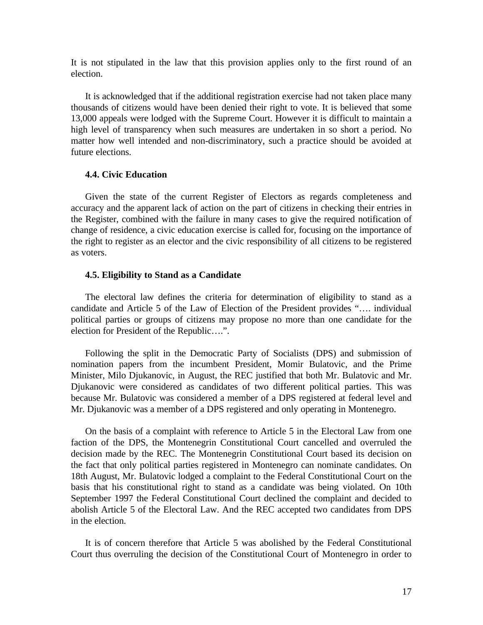It is not stipulated in the law that this provision applies only to the first round of an election.

It is acknowledged that if the additional registration exercise had not taken place many thousands of citizens would have been denied their right to vote. It is believed that some 13,000 appeals were lodged with the Supreme Court. However it is difficult to maintain a high level of transparency when such measures are undertaken in so short a period. No matter how well intended and non-discriminatory, such a practice should be avoided at future elections.

#### **4.4. Civic Education**

Given the state of the current Register of Electors as regards completeness and accuracy and the apparent lack of action on the part of citizens in checking their entries in the Register, combined with the failure in many cases to give the required notification of change of residence, a civic education exercise is called for, focusing on the importance of the right to register as an elector and the civic responsibility of all citizens to be registered as voters.

#### **4.5. Eligibility to Stand as a Candidate**

The electoral law defines the criteria for determination of eligibility to stand as a candidate and Article 5 of the Law of Election of the President provides "…. individual political parties or groups of citizens may propose no more than one candidate for the election for President of the Republic….".

Following the split in the Democratic Party of Socialists (DPS) and submission of nomination papers from the incumbent President, Momir Bulatovic, and the Prime Minister, Milo Djukanovic, in August, the REC justified that both Mr. Bulatovic and Mr. Djukanovic were considered as candidates of two different political parties. This was because Mr. Bulatovic was considered a member of a DPS registered at federal level and Mr. Djukanovic was a member of a DPS registered and only operating in Montenegro.

On the basis of a complaint with reference to Article 5 in the Electoral Law from one faction of the DPS, the Montenegrin Constitutional Court cancelled and overruled the decision made by the REC. The Montenegrin Constitutional Court based its decision on the fact that only political parties registered in Montenegro can nominate candidates. On 18th August, Mr. Bulatovic lodged a complaint to the Federal Constitutional Court on the basis that his constitutional right to stand as a candidate was being violated. On 10th September 1997 the Federal Constitutional Court declined the complaint and decided to abolish Article 5 of the Electoral Law. And the REC accepted two candidates from DPS in the election.

It is of concern therefore that Article 5 was abolished by the Federal Constitutional Court thus overruling the decision of the Constitutional Court of Montenegro in order to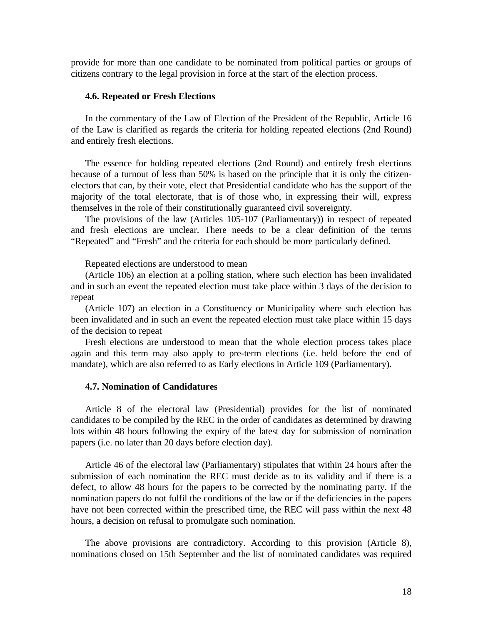provide for more than one candidate to be nominated from political parties or groups of citizens contrary to the legal provision in force at the start of the election process.

#### **4.6. Repeated or Fresh Elections**

In the commentary of the Law of Election of the President of the Republic, Article 16 of the Law is clarified as regards the criteria for holding repeated elections (2nd Round) and entirely fresh elections.

The essence for holding repeated elections (2nd Round) and entirely fresh elections because of a turnout of less than 50% is based on the principle that it is only the citizenelectors that can, by their vote, elect that Presidential candidate who has the support of the majority of the total electorate, that is of those who, in expressing their will, express themselves in the role of their constitutionally guaranteed civil sovereignty.

The provisions of the law (Articles 105-107 (Parliamentary)) in respect of repeated and fresh elections are unclear. There needs to be a clear definition of the terms "Repeated" and "Fresh" and the criteria for each should be more particularly defined.

Repeated elections are understood to mean

(Article 106) an election at a polling station, where such election has been invalidated and in such an event the repeated election must take place within 3 days of the decision to repeat

(Article 107) an election in a Constituency or Municipality where such election has been invalidated and in such an event the repeated election must take place within 15 days of the decision to repeat

Fresh elections are understood to mean that the whole election process takes place again and this term may also apply to pre-term elections (i.e. held before the end of mandate), which are also referred to as Early elections in Article 109 (Parliamentary).

# **4.7. Nomination of Candidatures**

Article 8 of the electoral law (Presidential) provides for the list of nominated candidates to be compiled by the REC in the order of candidates as determined by drawing lots within 48 hours following the expiry of the latest day for submission of nomination papers (i.e. no later than 20 days before election day).

Article 46 of the electoral law (Parliamentary) stipulates that within 24 hours after the submission of each nomination the REC must decide as to its validity and if there is a defect, to allow 48 hours for the papers to be corrected by the nominating party. If the nomination papers do not fulfil the conditions of the law or if the deficiencies in the papers have not been corrected within the prescribed time, the REC will pass within the next 48 hours, a decision on refusal to promulgate such nomination.

The above provisions are contradictory. According to this provision (Article 8), nominations closed on 15th September and the list of nominated candidates was required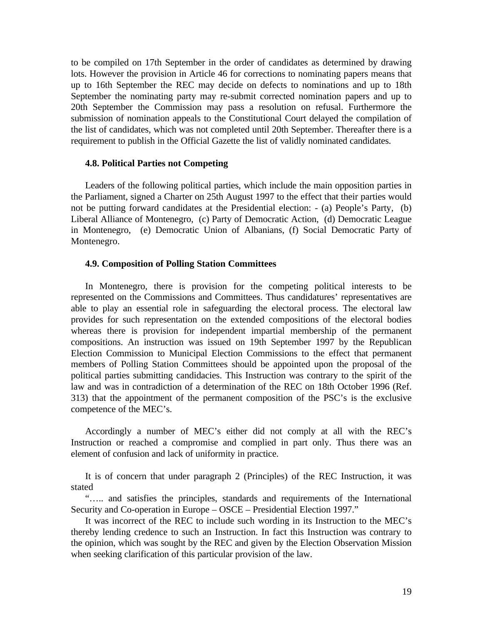to be compiled on 17th September in the order of candidates as determined by drawing lots. However the provision in Article 46 for corrections to nominating papers means that up to 16th September the REC may decide on defects to nominations and up to 18th September the nominating party may re-submit corrected nomination papers and up to 20th September the Commission may pass a resolution on refusal. Furthermore the submission of nomination appeals to the Constitutional Court delayed the compilation of the list of candidates, which was not completed until 20th September. Thereafter there is a requirement to publish in the Official Gazette the list of validly nominated candidates.

#### **4.8. Political Parties not Competing**

Leaders of the following political parties, which include the main opposition parties in the Parliament, signed a Charter on 25th August 1997 to the effect that their parties would not be putting forward candidates at the Presidential election: - (a) People's Party, (b) Liberal Alliance of Montenegro, (c) Party of Democratic Action, (d) Democratic League in Montenegro, (e) Democratic Union of Albanians, (f) Social Democratic Party of Montenegro.

#### **4.9. Composition of Polling Station Committees**

In Montenegro, there is provision for the competing political interests to be represented on the Commissions and Committees. Thus candidatures' representatives are able to play an essential role in safeguarding the electoral process. The electoral law provides for such representation on the extended compositions of the electoral bodies whereas there is provision for independent impartial membership of the permanent compositions. An instruction was issued on 19th September 1997 by the Republican Election Commission to Municipal Election Commissions to the effect that permanent members of Polling Station Committees should be appointed upon the proposal of the political parties submitting candidacies. This Instruction was contrary to the spirit of the law and was in contradiction of a determination of the REC on 18th October 1996 (Ref. 313) that the appointment of the permanent composition of the PSC's is the exclusive competence of the MEC's.

Accordingly a number of MEC's either did not comply at all with the REC's Instruction or reached a compromise and complied in part only. Thus there was an element of confusion and lack of uniformity in practice.

It is of concern that under paragraph 2 (Principles) of the REC Instruction, it was stated

"….. and satisfies the principles, standards and requirements of the International Security and Co-operation in Europe – OSCE – Presidential Election 1997."

It was incorrect of the REC to include such wording in its Instruction to the MEC's thereby lending credence to such an Instruction. In fact this Instruction was contrary to the opinion, which was sought by the REC and given by the Election Observation Mission when seeking clarification of this particular provision of the law.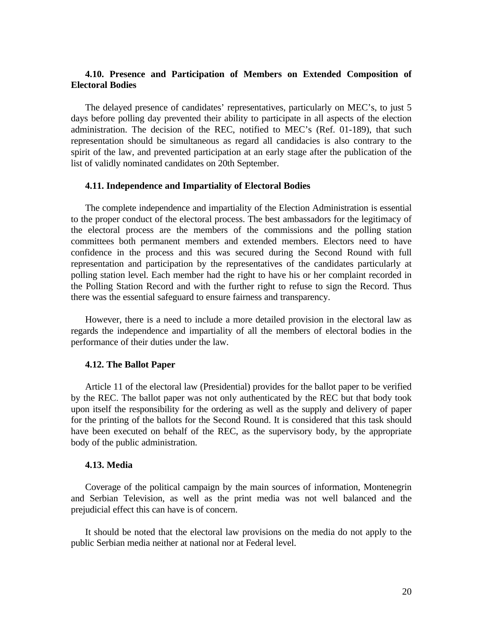# **4.10. Presence and Participation of Members on Extended Composition of Electoral Bodies**

The delayed presence of candidates' representatives, particularly on MEC's, to just 5 days before polling day prevented their ability to participate in all aspects of the election administration. The decision of the REC, notified to MEC's (Ref. 01-189), that such representation should be simultaneous as regard all candidacies is also contrary to the spirit of the law, and prevented participation at an early stage after the publication of the list of validly nominated candidates on 20th September.

#### **4.11. Independence and Impartiality of Electoral Bodies**

The complete independence and impartiality of the Election Administration is essential to the proper conduct of the electoral process. The best ambassadors for the legitimacy of the electoral process are the members of the commissions and the polling station committees both permanent members and extended members. Electors need to have confidence in the process and this was secured during the Second Round with full representation and participation by the representatives of the candidates particularly at polling station level. Each member had the right to have his or her complaint recorded in the Polling Station Record and with the further right to refuse to sign the Record. Thus there was the essential safeguard to ensure fairness and transparency.

However, there is a need to include a more detailed provision in the electoral law as regards the independence and impartiality of all the members of electoral bodies in the performance of their duties under the law.

#### **4.12. The Ballot Paper**

Article 11 of the electoral law (Presidential) provides for the ballot paper to be verified by the REC. The ballot paper was not only authenticated by the REC but that body took upon itself the responsibility for the ordering as well as the supply and delivery of paper for the printing of the ballots for the Second Round. It is considered that this task should have been executed on behalf of the REC, as the supervisory body, by the appropriate body of the public administration.

#### **4.13. Media**

Coverage of the political campaign by the main sources of information, Montenegrin and Serbian Television, as well as the print media was not well balanced and the prejudicial effect this can have is of concern.

It should be noted that the electoral law provisions on the media do not apply to the public Serbian media neither at national nor at Federal level.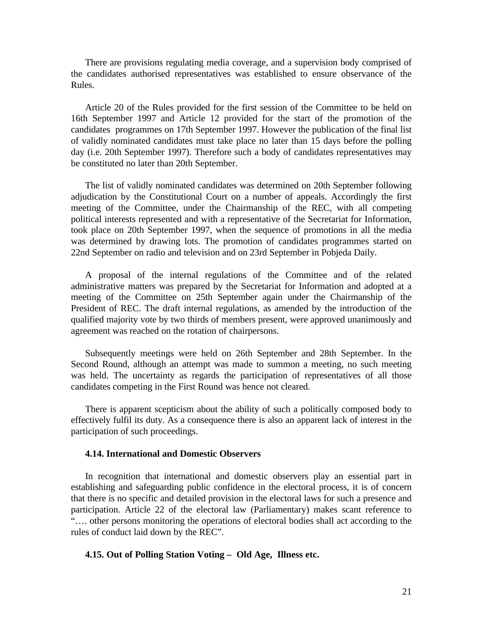There are provisions regulating media coverage, and a supervision body comprised of the candidates authorised representatives was established to ensure observance of the Rules.

Article 20 of the Rules provided for the first session of the Committee to be held on 16th September 1997 and Article 12 provided for the start of the promotion of the candidates programmes on 17th September 1997. However the publication of the final list of validly nominated candidates must take place no later than 15 days before the polling day (i.e. 20th September 1997). Therefore such a body of candidates representatives may be constituted no later than 20th September.

The list of validly nominated candidates was determined on 20th September following adjudication by the Constitutional Court on a number of appeals. Accordingly the first meeting of the Committee, under the Chairmanship of the REC, with all competing political interests represented and with a representative of the Secretariat for Information, took place on 20th September 1997, when the sequence of promotions in all the media was determined by drawing lots. The promotion of candidates programmes started on 22nd September on radio and television and on 23rd September in Pobjeda Daily.

A proposal of the internal regulations of the Committee and of the related administrative matters was prepared by the Secretariat for Information and adopted at a meeting of the Committee on 25th September again under the Chairmanship of the President of REC. The draft internal regulations, as amended by the introduction of the qualified majority vote by two thirds of members present, were approved unanimously and agreement was reached on the rotation of chairpersons.

Subsequently meetings were held on 26th September and 28th September. In the Second Round, although an attempt was made to summon a meeting, no such meeting was held. The uncertainty as regards the participation of representatives of all those candidates competing in the First Round was hence not cleared.

There is apparent scepticism about the ability of such a politically composed body to effectively fulfil its duty. As a consequence there is also an apparent lack of interest in the participation of such proceedings.

#### **4.14. International and Domestic Observers**

In recognition that international and domestic observers play an essential part in establishing and safeguarding public confidence in the electoral process, it is of concern that there is no specific and detailed provision in the electoral laws for such a presence and participation. Article 22 of the electoral law (Parliamentary) makes scant reference to "…. other persons monitoring the operations of electoral bodies shall act according to the rules of conduct laid down by the REC".

### **4.15. Out of Polling Station Voting – Old Age, Illness etc.**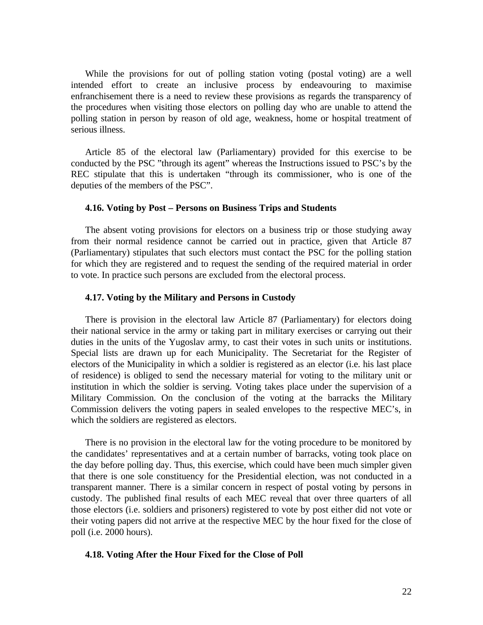While the provisions for out of polling station voting (postal voting) are a well intended effort to create an inclusive process by endeavouring to maximise enfranchisement there is a need to review these provisions as regards the transparency of the procedures when visiting those electors on polling day who are unable to attend the polling station in person by reason of old age, weakness, home or hospital treatment of serious illness.

Article 85 of the electoral law (Parliamentary) provided for this exercise to be conducted by the PSC "through its agent" whereas the Instructions issued to PSC's by the REC stipulate that this is undertaken "through its commissioner, who is one of the deputies of the members of the PSC".

#### **4.16. Voting by Post – Persons on Business Trips and Students**

The absent voting provisions for electors on a business trip or those studying away from their normal residence cannot be carried out in practice, given that Article 87 (Parliamentary) stipulates that such electors must contact the PSC for the polling station for which they are registered and to request the sending of the required material in order to vote. In practice such persons are excluded from the electoral process.

#### **4.17. Voting by the Military and Persons in Custody**

There is provision in the electoral law Article 87 (Parliamentary) for electors doing their national service in the army or taking part in military exercises or carrying out their duties in the units of the Yugoslav army, to cast their votes in such units or institutions. Special lists are drawn up for each Municipality. The Secretariat for the Register of electors of the Municipality in which a soldier is registered as an elector (i.e. his last place of residence) is obliged to send the necessary material for voting to the military unit or institution in which the soldier is serving. Voting takes place under the supervision of a Military Commission. On the conclusion of the voting at the barracks the Military Commission delivers the voting papers in sealed envelopes to the respective MEC's, in which the soldiers are registered as electors.

There is no provision in the electoral law for the voting procedure to be monitored by the candidates' representatives and at a certain number of barracks, voting took place on the day before polling day. Thus, this exercise, which could have been much simpler given that there is one sole constituency for the Presidential election, was not conducted in a transparent manner. There is a similar concern in respect of postal voting by persons in custody. The published final results of each MEC reveal that over three quarters of all those electors (i.e. soldiers and prisoners) registered to vote by post either did not vote or their voting papers did not arrive at the respective MEC by the hour fixed for the close of poll (i.e. 2000 hours).

#### **4.18. Voting After the Hour Fixed for the Close of Poll**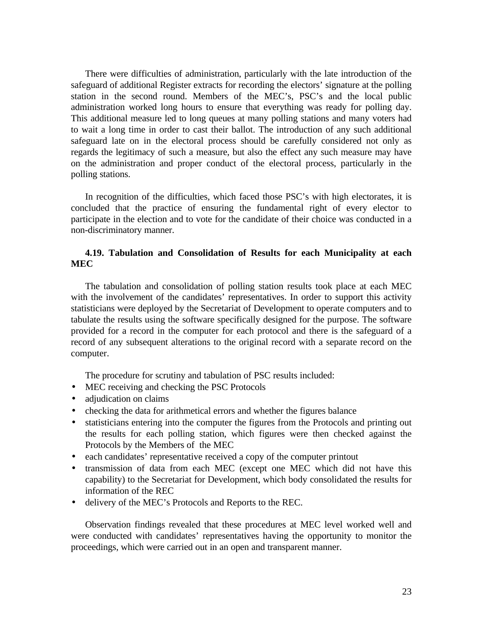There were difficulties of administration, particularly with the late introduction of the safeguard of additional Register extracts for recording the electors' signature at the polling station in the second round. Members of the MEC's, PSC's and the local public administration worked long hours to ensure that everything was ready for polling day. This additional measure led to long queues at many polling stations and many voters had to wait a long time in order to cast their ballot. The introduction of any such additional safeguard late on in the electoral process should be carefully considered not only as regards the legitimacy of such a measure, but also the effect any such measure may have on the administration and proper conduct of the electoral process, particularly in the polling stations.

In recognition of the difficulties, which faced those PSC's with high electorates, it is concluded that the practice of ensuring the fundamental right of every elector to participate in the election and to vote for the candidate of their choice was conducted in a non-discriminatory manner.

# **4.19. Tabulation and Consolidation of Results for each Municipality at each MEC**

The tabulation and consolidation of polling station results took place at each MEC with the involvement of the candidates' representatives. In order to support this activity statisticians were deployed by the Secretariat of Development to operate computers and to tabulate the results using the software specifically designed for the purpose. The software provided for a record in the computer for each protocol and there is the safeguard of a record of any subsequent alterations to the original record with a separate record on the computer.

The procedure for scrutiny and tabulation of PSC results included:

- MEC receiving and checking the PSC Protocols
- adjudication on claims
- checking the data for arithmetical errors and whether the figures balance
- statisticians entering into the computer the figures from the Protocols and printing out the results for each polling station, which figures were then checked against the Protocols by the Members of the MEC
- each candidates' representative received a copy of the computer printout
- transmission of data from each MEC (except one MEC which did not have this capability) to the Secretariat for Development, which body consolidated the results for information of the REC
- delivery of the MEC's Protocols and Reports to the REC.

Observation findings revealed that these procedures at MEC level worked well and were conducted with candidates' representatives having the opportunity to monitor the proceedings, which were carried out in an open and transparent manner.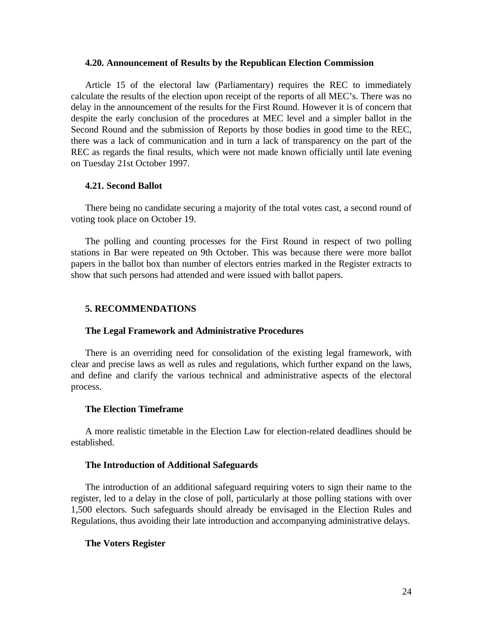#### **4.20. Announcement of Results by the Republican Election Commission**

Article 15 of the electoral law (Parliamentary) requires the REC to immediately calculate the results of the election upon receipt of the reports of all MEC's. There was no delay in the announcement of the results for the First Round. However it is of concern that despite the early conclusion of the procedures at MEC level and a simpler ballot in the Second Round and the submission of Reports by those bodies in good time to the REC, there was a lack of communication and in turn a lack of transparency on the part of the REC as regards the final results, which were not made known officially until late evening on Tuesday 21st October 1997.

#### **4.21. Second Ballot**

There being no candidate securing a majority of the total votes cast, a second round of voting took place on October 19.

The polling and counting processes for the First Round in respect of two polling stations in Bar were repeated on 9th October. This was because there were more ballot papers in the ballot box than number of electors entries marked in the Register extracts to show that such persons had attended and were issued with ballot papers.

#### **5. RECOMMENDATIONS**

#### **The Legal Framework and Administrative Procedures**

There is an overriding need for consolidation of the existing legal framework, with clear and precise laws as well as rules and regulations, which further expand on the laws, and define and clarify the various technical and administrative aspects of the electoral process.

# **The Election Timeframe**

A more realistic timetable in the Election Law for election-related deadlines should be established.

#### **The Introduction of Additional Safeguards**

The introduction of an additional safeguard requiring voters to sign their name to the register, led to a delay in the close of poll, particularly at those polling stations with over 1,500 electors. Such safeguards should already be envisaged in the Election Rules and Regulations, thus avoiding their late introduction and accompanying administrative delays.

#### **The Voters Register**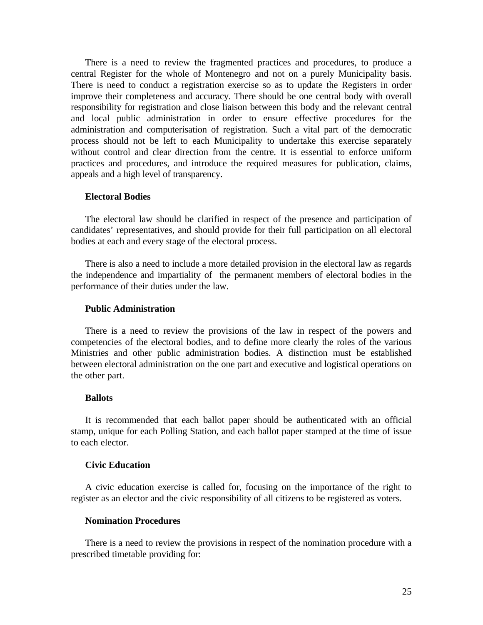There is a need to review the fragmented practices and procedures, to produce a central Register for the whole of Montenegro and not on a purely Municipality basis. There is need to conduct a registration exercise so as to update the Registers in order improve their completeness and accuracy. There should be one central body with overall responsibility for registration and close liaison between this body and the relevant central and local public administration in order to ensure effective procedures for the administration and computerisation of registration. Such a vital part of the democratic process should not be left to each Municipality to undertake this exercise separately without control and clear direction from the centre. It is essential to enforce uniform practices and procedures, and introduce the required measures for publication, claims, appeals and a high level of transparency.

#### **Electoral Bodies**

The electoral law should be clarified in respect of the presence and participation of candidates' representatives, and should provide for their full participation on all electoral bodies at each and every stage of the electoral process.

There is also a need to include a more detailed provision in the electoral law as regards the independence and impartiality of the permanent members of electoral bodies in the performance of their duties under the law.

#### **Public Administration**

There is a need to review the provisions of the law in respect of the powers and competencies of the electoral bodies, and to define more clearly the roles of the various Ministries and other public administration bodies. A distinction must be established between electoral administration on the one part and executive and logistical operations on the other part.

#### **Ballots**

It is recommended that each ballot paper should be authenticated with an official stamp, unique for each Polling Station, and each ballot paper stamped at the time of issue to each elector.

#### **Civic Education**

A civic education exercise is called for, focusing on the importance of the right to register as an elector and the civic responsibility of all citizens to be registered as voters.

# **Nomination Procedures**

There is a need to review the provisions in respect of the nomination procedure with a prescribed timetable providing for: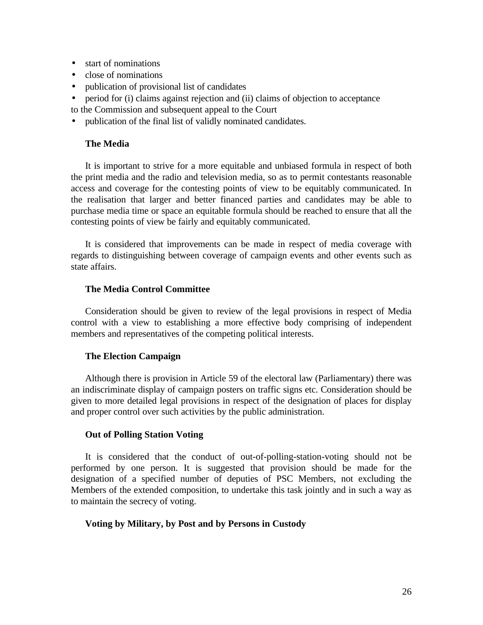- start of nominations
- close of nominations
- publication of provisional list of candidates
- period for (i) claims against rejection and (ii) claims of objection to acceptance to the Commission and subsequent appeal to the Court
- publication of the final list of validly nominated candidates.

# **The Media**

It is important to strive for a more equitable and unbiased formula in respect of both the print media and the radio and television media, so as to permit contestants reasonable access and coverage for the contesting points of view to be equitably communicated. In the realisation that larger and better financed parties and candidates may be able to purchase media time or space an equitable formula should be reached to ensure that all the contesting points of view be fairly and equitably communicated.

It is considered that improvements can be made in respect of media coverage with regards to distinguishing between coverage of campaign events and other events such as state affairs.

# **The Media Control Committee**

Consideration should be given to review of the legal provisions in respect of Media control with a view to establishing a more effective body comprising of independent members and representatives of the competing political interests.

# **The Election Campaign**

Although there is provision in Article 59 of the electoral law (Parliamentary) there was an indiscriminate display of campaign posters on traffic signs etc. Consideration should be given to more detailed legal provisions in respect of the designation of places for display and proper control over such activities by the public administration.

# **Out of Polling Station Voting**

It is considered that the conduct of out-of-polling-station-voting should not be performed by one person. It is suggested that provision should be made for the designation of a specified number of deputies of PSC Members, not excluding the Members of the extended composition, to undertake this task jointly and in such a way as to maintain the secrecy of voting.

### **Voting by Military, by Post and by Persons in Custody**